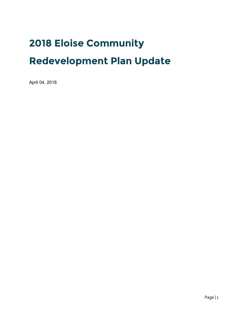# **2018 Eloise Community**

# **Redevelopment Plan Update**

April 04, 2018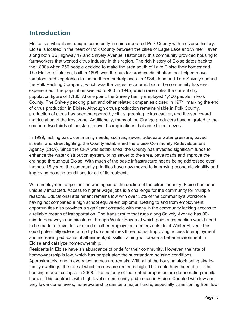# **Introduction**

Eloise is a vibrant and unique community in unincorporated Polk County with a diverse history. Eloise is located in the heart of Polk County between the cities of Eagle Lake and Winter Haven along both US Highway 17 and Snively Avenue. Historically this community provided housing to farmworkers that worked citrus industry in this region. The rich history of Eloise dates back to the 1890s when 250 people decided to make the area south of Lake Eloise their homestead. The Eloise rail station, built in 1896, was the hub for produce distribution that helped move tomatoes and vegetables to the northern marketplaces. In 1934, John and Tom Snively opened the Polk Packing Company, which was the largest economic boom the community has ever experienced. The population swelled to 900 in 1945, which resembles the current day population figure of 1,160. At one point, the Snively family employed 1,400 people in Polk County. The Snively packing plant and other related companies closed in 1971, marking the end of citrus production in Eloise. Although citrus production remains viable in Polk County, production of citrus has been hampered by citrus greening, citrus canker, and the southward matriculation of the frost zone. Additionally, many of the Orange producers have migrated to the southern two-thirds of the state to avoid complications that arise from freezes.

In 1999, lacking basic community needs, such as, sewer, adequate water pressure, paved streets, and street lighting, the County established the Eloise Community Redevelopment Agency (CRA). Since the CRA was established, the County has invested significant funds to enhance the water distribution system, bring sewer to the area, pave roads and improve the drainage throughout Eloise. With much of the basic infrastructure needs being addressed over the past 18 years, the community priorities have now moved to improving economic viability and improving housing conditions for all of its residents.

With employment opportunities waning since the decline of the citrus industry, Eloise has been uniquely impacted. Access to higher wage jobs is a challenge for the community for multiple reasons. Educational attainment remains low with over 52% of the community's workforce having not completed a high school equivalent diploma. Getting to and from employment opportunities also provides a significant obstacle with many in the community lacking access to a reliable means of transportation. The transit route that runs along Snively Avenue has 90 minute headways and circulates through Winter Haven at which point a connection would need to be made to travel to Lakeland or other employment centers outside of Winter Haven. This could potentially extend a trip by two sometimes three hours. Improving access to employment and increasing educational attainment/job skills training will create a better environment in Eloise and catalyze homeownership.

Residents in Eloise have an abundance of pride for their community. However, the rate of homeownership is low, which has perpetuated the substandard housing conditions. Approximately, one in every two homes are rentals. With all of the housing stock being singlefamily dwellings, the rate at which homes are rented is high. This could have been due to the housing market collapse in 2008. The majority of the rented properties are deteriorating mobile homes. This contrasts with high level of community pride seen in Eloise. Coupled with low and very low-income levels, homeownership can be a major hurdle, especially transitioning from low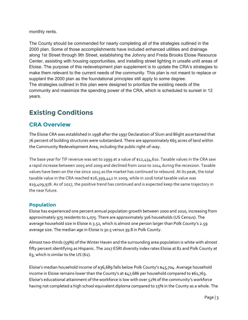monthly rents.

The County should be commended for nearly completing all of the strategies outlined in the 2000 plan. Some of those accomplishments have included enhanced utilities and drainage along 1st Street through 9th Street, establishing the Johnny and Freda Brooks Eloise Resource Center, assisting with housing opportunities, and installing street lighting in unsafe unlit areas of Eloise. The purpose of this redevelopment plan supplement is to update the CRA's strategies to make them relevant to the current needs of the community. This plan is not meant to replace or supplant the 2000 plan as the foundational principles still apply to some degree. The strategies outlined in this plan were designed to prioritize the existing needs of the community and maximize the spending power of the CRA, which is scheduled to sunset in 12 years.

# **Existing Conditions**

### **CRA Overview**

The Eloise CRA was established in 1998 after the 1997 Declaration of Slum and Blight ascertained that 76 percent of building structures were substandard. There are approximately 665 acres of land within the Community Redevelopment Area, including the public right-of-way.

The base year for TIF revenue was set to 1999 at a value of \$12,434,610. Taxable values in the CRA saw a rapid increase between 2005 and 2009 and declined from 2010 to 2014 during the recession. Taxable values have been on the rise since 2015 as the market has continued to rebound. At its peak, the total taxable value in the CRA reached \$26,399,442 in 2009, while in 2016 total taxable value was \$19,409,978. As of 2017, the positive trend has continued and is expected keep the same trajectory in the near future.

### **Population**

Eloise has experienced one percent annual population growth between 2000 and 2010, increasing from approximately 975 residents to 1,075. There are approximately 306 households (US Census). The average household size in Eloise is 3.52, which is almost one person larger than Polk County's 2.59 average size. The median age in Eloise is 30.5 versus 39.8 in Polk County.

Almost two-thirds (59%) of the Winter Haven and the surrounding area population is white with almost fifty percent identifying as Hispanic. The 2017 ESRI diversity index rates Eloise at 82 and Polk County at 63, which is similar to the US (62).

Eloise's median household income of \$36,689 falls below Polk County's \$45,704. Average household income in Eloise remains lower than the County's at \$47,686 per household compared to \$61,763. Eloise's educational attainment of the workforce is low with over 52% of the community's workforce having not completed a high school equivalent diploma compared to 15% in the County as a whole. The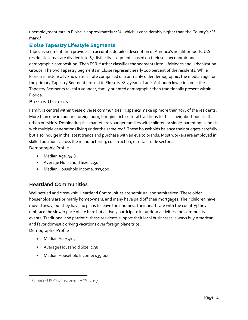unemployment rate in Eloise is approximately 11%, which is considerably higher than the County's 4%  $mark.1$  $mark.1$ 

### **Eloise Tapestry Lifestyle Segments**

Tapestry segmentation provides an accurate, detailed description of America's neighborhoods. U.S. residential areas are divided into 67 distinctive segments based on their socioeconomic and demographic composition. Then ESRI further classifies the segments into LifeModes and Urbanization Groups. The two Tapestry Segments in Eloise represent nearly 100 percent of the residents. While Florida is historically known as a state comprised of a primarily older demographic, the median age for the primary Tapestry Segment present in Eloise is 28.3 years of age. Although lower income, the Tapestry Segments reveal a younger, family oriented demographic than traditionally present within Florida.

### Barrios Urbanos

Family is central within these diverse communities. Hispanics make up more than 70% of the residents. More than one in four are foreign born, bringing rich cultural traditions to these neighborhoods in the urban outskirts. Dominating this market are younger families with children or single-parent households with multiple generations living under the same roof. These households balance their budgets carefully but also indulge in the latest trends and purchase with an eye to brands. Most workers are employed in skilled positions across the manufacturing, construction, or retail trade sectors. Demographic Profile

- · Median Age: 34.8
- · Average Household Size: 2.50
- · Median Household Income: \$37,000

### Heartland Communities

Well settled and close-knit, Heartland Communities are semirural and semiretired. These older householders are primarily homeowners, and many have paid off their mortgages. Their children have moved away, but they have no plans to leave their homes. Their hearts are with the country; they embrace the slower pace of life here but actively participate in outdoor activities and community events. Traditional and patriotic, these residents support their local businesses, always buy American, and favor domestic driving vacations over foreign plane trips. Demographic Profile

• Median Age: 41.5

 $\overline{a}$ 

- · Average Household Size: 2.38
- · Median Household Income: \$39,000

<span id="page-3-0"></span><sup>&</sup>lt;sup>1</sup> SOURCE: US CENSUS, 2010; ACS, 2017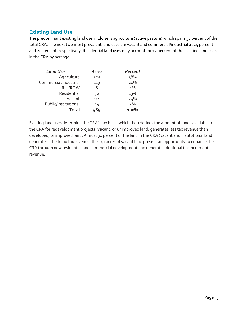#### **Existing Land Use**

The predominant existing land use in Eloise is agriculture (active pasture) which spans 38 percent of the total CRA. The next two most prevalent land uses are vacant and commercial/industrial at 24 percent and 20 percent, respectively. Residential land uses only account for 12 percent of the existing land uses in the CRA by acreage.

| <b>Land Use</b>       | Acres | Percent |
|-----------------------|-------|---------|
| Agriculture           | 225   | २8%     |
| Commercial/Industrial | 119   | 20%     |
| Rail/ROW              | 8     | $1\%$   |
| Residential           | 72    | 13%     |
| Vacant                | 141   | 24%     |
| Public/Institutional  | 24    | 4%      |
| Total                 | 589   | 100%    |

Existing land uses determine the CRA's tax base, which then defines the amount of funds available to the CRA for redevelopment projects. Vacant, or unimproved land, generates less tax revenue than developed, or improved land. Almost 30 percent of the land in the CRA (vacant and institutional land) generates little to no tax revenue, the 141 acres of vacant land present an opportunity to enhance the CRA through new residential and commercial development and generate additional tax increment revenue.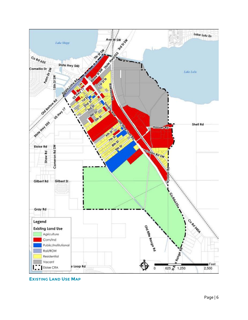

**EXISTING LAND USE MAP**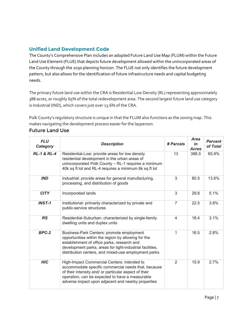### **Unified Land Development Code**

The County's Comprehensive Plan includes an adopted Future Land Use Map (FLUM) within the Future Land Use Element (FLUE) that depicts future development allowed within the unincorporated areas of the County through the 2030 planning horizon. The FLUE not only identifies the future development pattern, but also allows for the identification of future infrastructure needs and capital budgeting needs.

The primary future land use within the CRA is Residential Low Density (RL) representing approximately 388 acres, or roughly 65% of the total redevelopment area. The second largest future land use category is Industrial (IND), which covers just over 13.6% of the CRA.

Polk County's regulatory structure is unique in that the FLUM also functions as the zoning map. This makes navigating the development process easier for the layperson.

#### Future Land Use

| <b>FLU</b><br>Category | <b>Description</b>                                                                                                                                                                                                                                                   | # Parcels      | <b>Area</b><br>in<br><b>Acres</b> | <b>Percent</b><br>of Total |
|------------------------|----------------------------------------------------------------------------------------------------------------------------------------------------------------------------------------------------------------------------------------------------------------------|----------------|-----------------------------------|----------------------------|
| <b>RL-1 &amp; RL-4</b> | Residential-Low: provide areas for low density<br>residential development in the urban areas of<br>unincorporated Polk County - RL-1 requires a minimum<br>40k sq ft lot and RL-4 requires a minimum 6k sq ft lot                                                    | 13             | 388.5                             | 65.9%                      |
| <b>IND</b>             | Industrial: provide areas for general manufacturing,<br>processing, and distribution of goods                                                                                                                                                                        | 3              | 80.5                              | 13.6%                      |
| <b>CITY</b>            | Incorporated lands                                                                                                                                                                                                                                                   | 3              | 29.8                              | 5.1%                       |
| $INST-1$               | Institutional: primarily characterized by private and<br>public-service structures                                                                                                                                                                                   | $\overline{7}$ | 22.5                              | 3.8%                       |
| <b>RS</b>              | Residential-Suburban: characterized by single-family<br>dwelling units and duplex units                                                                                                                                                                              | $\overline{4}$ | 18.4                              | 3.1%                       |
| BPC-2                  | Business-Park Centers: promote employment<br>opportunities within the region by allowing for the<br>establishment of office parks, research and<br>development parks, areas for light-industrial facilities,<br>distribution centers, and mixed-use employment parks | 1              | 16.5                              | 2.8%                       |
| <b>HIC</b>             | High-Impact Commercial Centers: intended to<br>accommodate specific commercial needs that, because<br>of their intensity and/ or particular aspect of their<br>operation, can be expected to have a measurable<br>adverse impact upon adjacent and nearby properties | $\overline{2}$ | 15.9                              | 2.7%                       |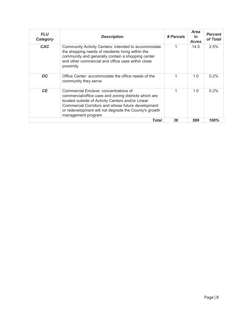| <b>FLU</b><br>Category | <b>Description</b>                                                                                                                                                                                                                                                                      | # Parcels | Area<br>in<br><b>Acres</b> | <b>Percent</b><br>of Total |
|------------------------|-----------------------------------------------------------------------------------------------------------------------------------------------------------------------------------------------------------------------------------------------------------------------------------------|-----------|----------------------------|----------------------------|
| <b>CAC</b>             | Community Activity Centers: intended to accommodate<br>the shopping needs of residents living within the<br>community and generally contain a shopping center<br>and other commercial and office uses within close<br>proximity                                                         | 1         | 14.5                       | $2.5\%$                    |
| OC.                    | Office Center: accommodate the office needs of the<br>community they serve                                                                                                                                                                                                              | 1         | 1.0                        | $0.2\%$                    |
| <b>CE</b>              | Commercial Enclave: concentrations of<br>commercial/office uses and zoning districts which are<br>located outside of Activity Centers and/or Linear<br>Commercial Corridors and whose future development<br>or redevelopment will not degrade the County's growth<br>management program | 1         | 1.0                        | 0.2%                       |
|                        | Total                                                                                                                                                                                                                                                                                   | 36        | 589                        | 100%                       |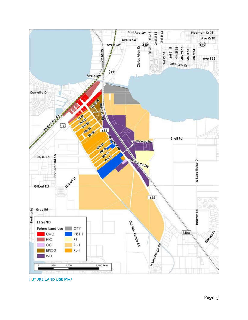

**FUTURE LAND USE MAP**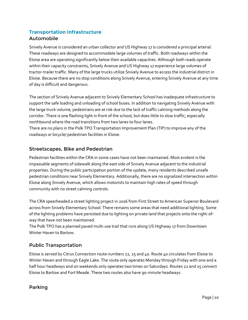### **Transportation Infrastructure**  Automobile

Snively Avenue is considered an urban collector and US Highway 17 is considered a principal arterial. These roadways are designed to accommodate large volumes of traffic. Both roadways within the Eloise area are operating significantly below their available capacities. Although both roads operate within their capacity constraints, Snively Avenue and US Highway 17 experience large volumes of tractor-trailer traffic. Many of the large trucks utilize Snively Avenue to access the industrial district in Eloise. Because there are no stop conditions along Snively Avenue, entering Snively Avenue at any time of day is difficult and dangerous.

The section of Snively Avenue adjacent to Snively Elementary School has inadequate infrastructure to support the safe loading and unloading of school buses. In addition to navigating Snively Avenue with the large truck volume, pedestrians are at risk due to the lack of traffic calming methods along the corridor. There is one flashing light in front of the school, but does little to slow traffic, especially northbound where the road transitions from two lanes to four lanes.

There are no plans in the Polk TPO Transportation Improvement Plan (TIP) to improve any of the roadways or bicycle/ pedestrian facilities in Eloise.

### Streetscapes, Bike and Pedestrian

Pedestrian facilities within the CRA in some cases have not been maintained. Most evident is the impassable segments of sidewalk along the east side of Snively Avenue adjacent to the industrial properties. During the public participation portion of the update, many residents described unsafe pedestrian conditions near Snively Elementary. Additionally, there are no signalized intersection within Eloise along Snively Avenue, which allows motorists to maintain high rates of speed through community with no street calming controls.

The CRA spearheaded a street lighting project in 2016 from First Street to American Superior Boulevard across from Snively Elementary School. There remains some areas that need additional lighting. Some of the lighting problems have persisted due to lighting on private land that projects onto the right-ofway that have not been maintained.

The Polk TPO has a planned paved multi-use trail that runs along US Highway 17 from Downtown Winter Haven to Bartow.

### Public Transportation

Eloise is served by Citrus Connection route numbers 22, 25 and 40. Route 40 circulates from Eloise to Winter Haven and through Eagle Lake. The route only operates Monday through Friday with one and a half hour headways and on weekends only operates two times on Saturdays. Routes 22 and 25 connect Eloise to Bartow and Fort Meade. These two routes also have 90-minute headways.

### Parking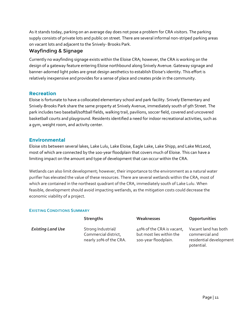As it stands today, parking on an average day does not pose a problem for CRA visitors. The parking supply consists of private lots and public on street. There are several informal non-striped parking areas on vacant lots and adjacent to the Snively- Brooks Park.

#### Wayfinding & Signage

Currently no wayfinding signage exists within the Eloise CRA; however, the CRA is working on the design of a gateway feature entering Eloise northbound along Snively Avenue. Gateway signage and banner-adorned light poles are great design aesthetics to establish Eloise's identity. This effort is relatively inexpensive and provides for a sense of place and creates pride in the community.

#### **Recreation**

Eloise is fortunate to have a collocated elementary school and park facility. Snively Elementary and Snively-Brooks Park share the same property at Snively Avenue, immediately south of 9th Street. The park includes two baseball/softball fields, walking trail, pavilions, soccer field, covered and uncovered basketball courts and playground. Residents identified a need for indoor recreational activities, such as a gym, weight room, and activity center.

#### **Environmental**

Eloise sits between several lakes, Lake Lulu, Lake Eloise, Eagle Lake, Lake Shipp, and Lake McLeod, most of which are connected by the 100-year floodplain that covers much of Eloise. This can have a limiting impact on the amount and type of development that can occur within the CRA.

Wetlands can also limit development; however, their importance to the environment as a natural water purifier has elevated the value of these resources. There are several wetlands within the CRA, most of which are contained in the northeast quadrant of the CRA, immediately south of Lake Lulu. When feasible, development should avoid impacting wetlands, as the mitigation costs could decrease the economic viability of a project.

#### **EXISTING CONDITIONS SUMMARY**

|                          | Strengths                                                            | Weaknesses                                                                    | Opportunities                                                                   |
|--------------------------|----------------------------------------------------------------------|-------------------------------------------------------------------------------|---------------------------------------------------------------------------------|
| <b>Existing Land Use</b> | Strong Industrial/<br>Commercial district,<br>nearly 20% of the CRA. | 40% of the CRA is vacant,<br>but most lies within the<br>100-year floodplain. | Vacant land has both<br>commercial and<br>residential development<br>potential. |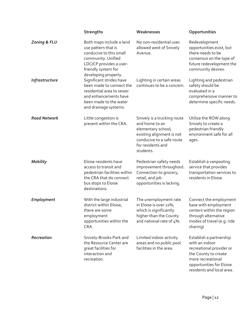|                         | <b>Strengths</b>                                                                                                                                                           | Weaknesses                                                                                                                                                      | Opportunities                                                                                                                                                               |
|-------------------------|----------------------------------------------------------------------------------------------------------------------------------------------------------------------------|-----------------------------------------------------------------------------------------------------------------------------------------------------------------|-----------------------------------------------------------------------------------------------------------------------------------------------------------------------------|
| <b>Zoning &amp; FLU</b> | Both maps include a land<br>use pattern that is<br>conducive to this small<br>community. Unified<br>LDC/CP provides a user-<br>friendly system for<br>developing property. | No non-residential uses<br>allowed west of Snively<br>Avenue.                                                                                                   | Redevelopment<br>opportunities exist, but<br>there needs to be<br>consensus on the type of<br>future redevelopment the<br>community desires.                                |
| Infrastructure          | Significant strides have<br>been made to connect the<br>residential area to sewer<br>and enhancements have<br>been made to the water<br>and drainage systems.              | Lighting in certain areas<br>continues to be a concern.                                                                                                         | Lighting and pedestrian<br>safety should be<br>evaluated in a<br>comprehensive manner to<br>determine specific needs.                                                       |
| <b>Road Network</b>     | Little congestion is<br>present within the CRA.                                                                                                                            | Snively is a trucking route<br>and home to an<br>elementary school;<br>existing alignment is not<br>conducive to a safe route<br>for residents and<br>students. | Utilize the ROW along<br>Snively to create a<br>pedestrian friendly<br>environment safe for all<br>ages.                                                                    |
| <b>Mobility</b>         | Eloise residents have<br>access to transit and<br>pedestrian facilities within<br>the CRA that do connect<br>bus stops to Eloise<br>destinations.                          | Pedestrian safety needs<br>improvement throughout.<br>Connection to grocery,<br>retail, and job<br>opportunities is lacking.                                    | Establish a vanpooling<br>service that provides<br>transportation services to<br>residents in Eloise.                                                                       |
| Employment              | With the large industrial<br>district within Eloise,<br>there are some<br>employment<br>opportunities within the<br>CRA.                                                   | The unemployment rate<br>in Eloise is over 11%,<br>which is significantly<br>higher than the County<br>and national rate of 4%.                                 | Connect the employment<br>base with employment<br>centers within the region<br>through alternative<br>modes of travel (e.g. ride<br>sharing)                                |
| Recreation              | Snively-Brooks Park and<br>the Resource Center are<br>great facilities for<br>interaction and<br>recreation.                                                               | Limited indoor activity<br>areas and no public pool<br>facilities in the area.                                                                                  | Establish a partnership<br>with an indoor<br>recreational provider or<br>the County to create<br>more recreational<br>opportunities for Eloise<br>residents and local area. |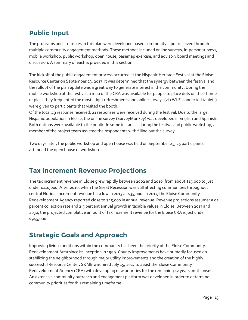# **Public Input**

The programs and strategies in this plan were developed based community input received through multiple community engagement methods. These methods included online surveys, in-person surveys, mobile workshop, public workshop, open house, basemap exercise, and advisory board meetings and discussion. A summary of each is provided in this section.

The kickoff of the public engagement process occurred at the Hispanic Heritage Festival at the Eloise Resource Center on September 23, 2017. It was determined that the synergy between the festival and the rollout of the plan update was a great way to generate interest in the community. During the mobile workshop at the festival, a map of the CRA was available for people to place dots on their home or place they frequented the most. Light refreshments and online surveys (via Wi-Fi connected tablets) were given to participants that visited the booth.

Of the total 49 response received, 21 responses were received during the festival. Due to the large Hispanic population in Eloise, the online survey (SurveyMonkey) was developed in English and Spanish. Both options were available to the public. In some instances during the festival and public workshop, a member of the project team assisted the respondents with filling out the survey.

Two days later, the public workshop and open house was held on September 25, 25 participants attended the open house or workshop.

# **Tax Increment Revenue Projections**

The tax increment revenue in Eloise grew rapidly between 2002 and 2010, from about \$15,000 to just under \$110,000. After 2010, when the Great Recession was still affecting communities throughout central Florida, increment revenue hit a low in 2013 at \$35,000. In 2017, the Eloise Community Redevelopment Agency reported close to \$45,000 in annual revenue. Revenue projections assumer a 95 percent collection rate and 2.5 percent annual growth in taxable values in Eloise. Between 2017 and 2030, the projected cumulative amount of tax increment revenue for the Eloise CRA is just under \$945,000.

# **Strategic Goals and Approach**

Improving living conditions within the community has been the priority of the Eloise Community Redevelopment Area since its inception in 1999. County improvements have primarily focused on stabilizing the neighborhood through major utility improvements and the creation of the highly successful Resource Center. S&ME was hired July 15, 2017 to assist the Eloise Community Redevelopment Agency (CRA) with developing new priorities for the remaining 12 years until sunset. An extensive community outreach and engagement platform was developed in order to determine community priorities for this remaining timeframe.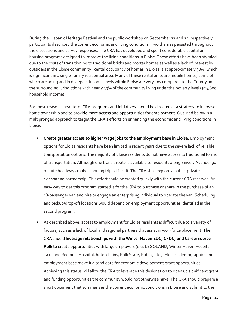During the Hispanic Heritage Festival and the public workshop on September 23 and 25, respectively, participants described the current economic and living conditions. Two themes persisted throughout the discussions and survey responses. The CRA has developed and spent considerable capital on housing programs designed to improve the living conditions in Eloise. These efforts have been stymied due to the costs of transitioning to traditional bricks and mortar homes as well as a lack of interest by outsiders in the Eloise community. Rental occupancy of homes in Eloise is at approximately 38%, which is significant in a single-family residential area. Many of these rental units are mobile homes, some of which are aging and in disrepair. Income levels within Eloise are very low compared to the County and the surrounding jurisdictions with nearly 39% of the community living under the poverty level (\$24,600) household income).

For these reasons, near term CRA programs and initiatives should be directed at a strategy to increase home ownership and to provide more access and opportunities for employment. Outlined below is a multipronged approach to target the CRA's efforts on enhancing the economic and living conditions in Eloise:

- · **Create greater access to higher wage jobs to the employment base in Eloise.** Employment options for Eloise residents have been limited in recent years due to the severe lack of reliable transportation options. The majority of Eloise residents do not have access to traditional forms of transportation. Although one transit route is available to residents along Snively Avenue, 90 minute headways make planning trips difficult. The CRA shall explore a public-private ridesharing partnership. This effort could be created quickly with the current CRA reserves. An easy way to get this program started is for the CRA to purchase or share in the purchase of an 18-passenger van and hire or engage an enterprising individual to operate the van. Scheduling and pickup/drop-off locations would depend on employment opportunities identified in the second program.
- As described above, access to employment for Eloise residents is difficult due to a variety of factors, such as a lack of local and regional partners that assist in workforce placement. The CRA should **leverage relationships with the Winter Haven EDC, CFDC, and CareerSource Polk** to create opportunities with large employers (e.g. LEGOLAND, Winter Haven Hospital, Lakeland Regional Hospital, hotel chains, Polk State, Publix, etc.). Eloise's demographics and employment base make it a candidate for economic development grant opportunities. Achieving this status will allow the CRA to leverage this designation to open up significant grant and funding opportunities the community would not otherwise have. The CRA should prepare a short document that summarizes the current economic conditions in Eloise and submit to the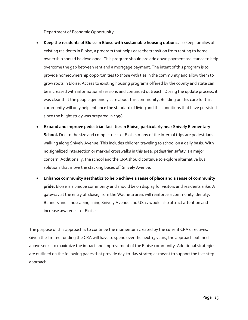Department of Economic Opportunity.

- · **Keep the residents of Eloise in Eloise with sustainable housing options.** To keep families of existing residents in Eloise, a program that helps ease the transition from renting to home ownership should be developed. This program should provide down payment assistance to help overcome the gap between rent and a mortgage payment. The intent of this program is to provide homeownership opportunities to those with ties in the community and allow them to grow roots in Eloise. Access to existing housing programs offered by the county and state can be increased with informational sessions and continued outreach. During the update process, it was clear that the people genuinely care about this community. Building on this care for this community will only help enhance the standard of living and the conditions that have persisted since the blight study was prepared in 1998.
- · **Expand and improve pedestrian facilities in Eloise, particularly near Snively Elementary School.** Due to the size and compactness of Eloise, many of the internal trips are pedestrians walking along Snively Avenue. This includes children traveling to school on a daily basis. With no signalized intersection or marked crosswalks in this area, pedestrian safety is a major concern. Additionally, the school and the CRA should continue to explore alternative bus solutions that move the stacking buses off Snively Avenue.
- · **Enhance community aesthetics to help achieve a sense of place and a sense of community pride.** Eloise is a unique community and should be on display for visitors and residents alike. A gateway at the entry of Eloise, from the Wauneta area, will reinforce a community identity. Banners and landscaping lining Snively Avenue and US 17 would also attract attention and increase awareness of Eloise.

The purpose of this approach is to continue the momentum created by the current CRA directives. Given the limited funding the CRA will have to spend over the next 13 years, the approach outlined above seeks to maximize the impact and improvement of the Eloise community. Additional strategies are outlined on the following pages that provide day-to-day strategies meant to support the five-step approach.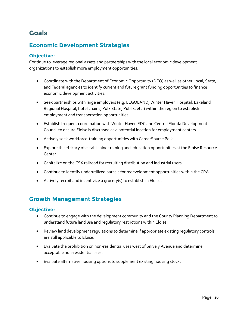# **Goals**

## **Economic Development Strategies**

### **Objective:**

Continue to leverage regional assets and partnerships with the local economic development organizations to establish more employment opportunities.

- · Coordinate with the Department of Economic Opportunity (DEO) as well as other Local, State, and Federal agencies to identify current and future grant funding opportunities to finance economic development activities.
- · Seek partnerships with large employers (e.g. LEGOLAND, Winter Haven Hospital, Lakeland Regional Hospital, hotel chains, Polk State, Publix, etc.) within the region to establish employment and transportation opportunities.
- · Establish frequent coordination with Winter Haven EDC and Central Florida Development Council to ensure Eloise is discussed as a potential location for employment centers.
- · Actively seek workforce-training opportunities with CareerSource Polk.
- · Explore the efficacy of establishing training and education opportunities at the Eloise Resource Center.
- · Capitalize on the CSX railroad for recruiting distribution and industrial users.
- · Continue to identify underutilized parcels for redevelopment opportunities within the CRA.
- · Actively recruit and incentivize a grocery(s) to establish in Eloise.

### **Growth Management Strategies**

### **Objective:**

- · Continue to engage with the development community and the County Planning Department to understand future land use and regulatory restrictions within Eloise.
- · Review land development regulations to determine if appropriate existing regulatory controls are still applicable to Eloise.
- · Evaluate the prohibition on non-residential uses west of Snively Avenue and determine acceptable non-residential uses.
- Evaluate alternative housing options to supplement existing housing stock.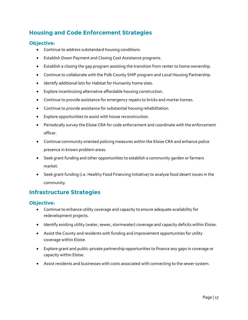# **Housing and Code Enforcement Strategies**

### **Objective:**

- · Continue to address substandard housing conditions.
- · Establish Down Payment and Closing Cost Assistance programs.
- · Establish a closing the gap program assisting the transition from renter to home ownership.
- · Continue to collaborate with the Polk County SHIP program and Local Housing Partnership.
- · Identify additional lots for Habitat for Humanity home sites.
- · Explore incentivizing alternative affordable housing construction.
- · Continue to provide assistance for emergency repairs to bricks and mortar homes.
- · Continue to provide assistance for substantial housing rehabilitation.
- · Explore opportunities to assist with house reconstruction.
- · Periodically survey the Eloise CRA for code enforcement and coordinate with the enforcement officer.
- · Continue community oriented policing measures within the Eloise CRA and enhance police presence in known problem areas.
- · Seek grant funding and other opportunities to establish a community garden or farmers market.
- · Seek grant funding (i.e. Healthy Food Financing Initiative) to analyze food desert issues in the community.

### **Infrastructure Strategies**

### **Objective:**

- · Continue to enhance utility coverage and capacity to ensure adequate availability for redevelopment projects.
- · Identify existing utility (water, sewer, stormwater) coverage and capacity deficits within Eloise.
- · Assist the County and residents with funding and improvement opportunities for utility coverage within Eloise.
- · Explore grant and public-private partnership opportunities to finance any gaps in coverage or capacity within Eloise.
- · Assist residents and businesses with costs associated with connecting to the sewer system.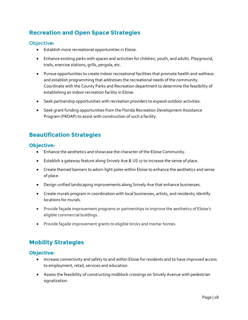# **Recreation and Open Space Strategies**

### Objectiv**e:**

- · Establish more recreational opportunities in Eloise.
- · Enhance existing parks with spaces and activities for children, youth, and adults. Playground, trails, exercise stations, grills, pergola, etc.
- · Pursue opportunities to create indoor recreational facilities that promote health and wellness and establish programming that addresses the recreational needs of the community. Coordinate with the County Parks and Recreation department to determine the feasibility of establishing an indoor recreation facility in Eloise.
- · Seek partnership opportunities with recreation providers to expand outdoor activities.
- · Seek grant funding opportunities from the Florida Recreation Development Assistance Program (FRDAP) to assist with construction of such a facility.

## **Beautification Strategies**

### **Objective:**

- · Enhance the aesthetics and showcase the character of the Eloise Community.
- · Establish a gateway feature along Snively Ave & US 17 to increase the sense of place.
- · Create themed banners to adorn light poles within Eloise to enhance the aesthetics and sense of place.
- · Design unified landscaping improvements along Snively Ave that enhance businesses.
- · Create murals program in coordination with local businesses, artists, and residents; identify locations for murals.
- · Provide façade improvement programs or partnerships to improve the aesthetics of Eloise's eligible commercial buildings.
- · Provide façade improvement grants to eligible bricks and mortar homes.

### **Mobility Strategies**

### **Objective:**

- · Increase connectivity and safety to and within Eloise for residents and to have improved access to employment, retail, services and education.
- · Assess the feasibility of constructing midblock crossings on Snively Avenue with pedestrian signalization.